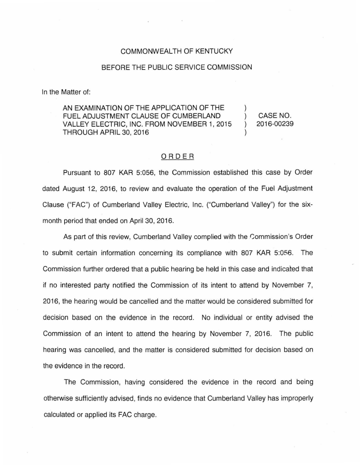## COMMONWEALTH OF KENTUCKY

## BEFORE THE PUBLIC SERVICE COMMISSION

In the Matter of:

AN EXAMINATION OF THE APPLICATION OF THE FUEL ADJUSTMENT CLAUSE OF CUMBERLAND VALLEY ELECTRIC, INC. FROM NOVEMBER 1, 2015 THROUGH APRIL 30, 2016

) CASE NO. ) 2016-00239

)

)

## ORDER

Pursuant to 807 KAR 5:056, the Commission established this case by Order dated August 12, 2016, to review and evaluate the operation of the Fuel Adjustment Clause ("FAC") of Cumberland Valley Electric, Inc. ("Cumberland Valley") for the sixmonth period that ended on April 30, 2016.

As part of this review, Cumberland Valley complied with the Commission's Order to submit certain information concerning its compliance with 807 KAR 5:056. The Commission further ordered that a public hearing be held in this case and indicated that if no interested party notified the Commission of its intent to attend by November 7, 2016, the hearing would be cancelled and the matter would be considered submitted for decision based on the evidence in the record. No individual or entity advised the Commission of an intent to attend the hearing by November 7, 2016. The public hearing was cancelled, and the matter is considered submitted for decision based on the evidence in the record.

The Commission, having considered the evidence in the record and being otherwise sufficiently advised, finds no evidence that Cumberland Valley has improperly calculated or applied its FAC charge.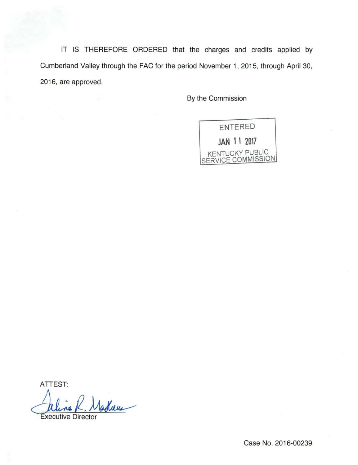IT IS THEREFORE ORDERED that the charges and credits applied by Cumberland Valley through the FAC for the period November 1, 2015, through April 30, 2016, are approved.

By the Commission

ENTERED **JAN 11 2017**  KENTUCKY PUBLIC SERVICE COMMISSION

ATTEST: aline K. Madlum

Case No. 2016-00239